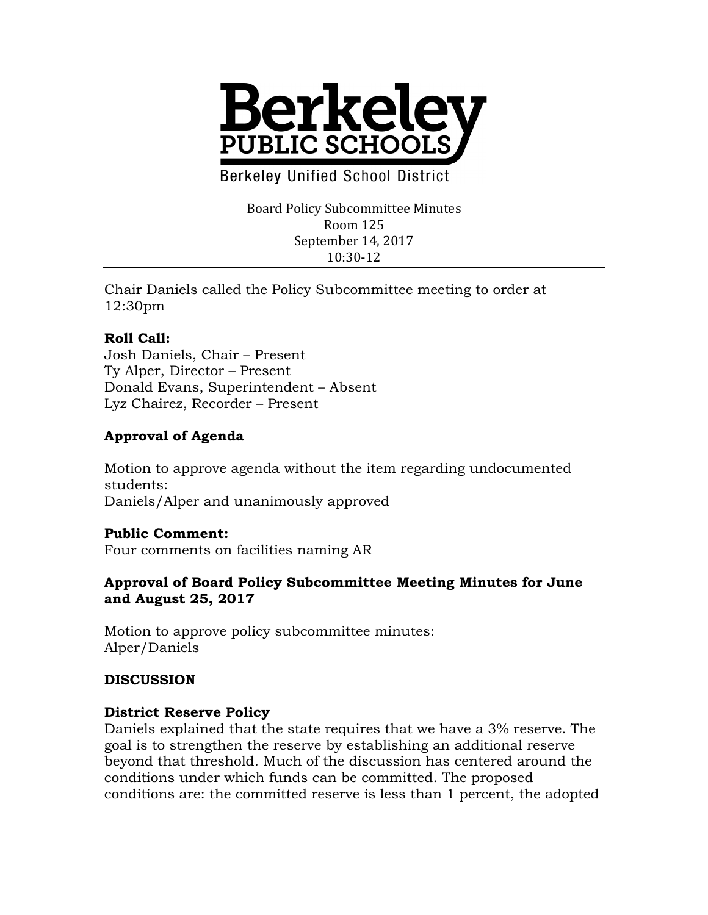

**Berkeley Unified School District** 

Board Policy Subcommittee Minutes Room 125 September 14, 2017 10:30-12

Chair Daniels called the Policy Subcommittee meeting to order at 12:30pm

### **Roll Call:**

Josh Daniels, Chair – Present Ty Alper, Director – Present Donald Evans, Superintendent – Absent Lyz Chairez, Recorder – Present

## **Approval of Agenda**

Motion to approve agenda without the item regarding undocumented students: Daniels/Alper and unanimously approved

#### **Public Comment:**

Four comments on facilities naming AR

#### **Approval of Board Policy Subcommittee Meeting Minutes for June and August 25, 2017**

Motion to approve policy subcommittee minutes: Alper/Daniels

#### **DISCUSSION**

#### **District Reserve Policy**

Daniels explained that the state requires that we have a 3% reserve. The goal is to strengthen the reserve by establishing an additional reserve beyond that threshold. Much of the discussion has centered around the conditions under which funds can be committed. The proposed conditions are: the committed reserve is less than 1 percent, the adopted